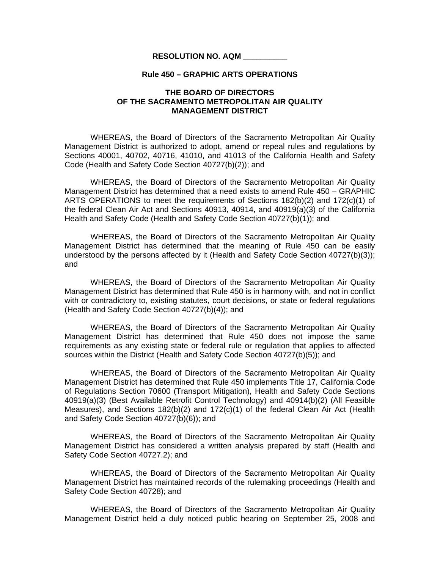#### **Rule 450 – GRAPHIC ARTS OPERATIONS**

# **THE BOARD OF DIRECTORS OF THE SACRAMENTO METROPOLITAN AIR QUALITY MANAGEMENT DISTRICT**

 WHEREAS, the Board of Directors of the Sacramento Metropolitan Air Quality Management District is authorized to adopt, amend or repeal rules and regulations by Sections 40001, 40702, 40716, 41010, and 41013 of the California Health and Safety Code (Health and Safety Code Section 40727(b)(2)); and

WHEREAS, the Board of Directors of the Sacramento Metropolitan Air Quality Management District has determined that a need exists to amend Rule 450 – GRAPHIC ARTS OPERATIONS to meet the requirements of Sections 182(b)(2) and 172(c)(1) of the federal Clean Air Act and Sections 40913, 40914, and 40919(a)(3) of the California Health and Safety Code (Health and Safety Code Section 40727(b)(1)); and

 WHEREAS, the Board of Directors of the Sacramento Metropolitan Air Quality Management District has determined that the meaning of Rule 450 can be easily understood by the persons affected by it (Health and Safety Code Section 40727(b)(3)); and

 WHEREAS, the Board of Directors of the Sacramento Metropolitan Air Quality Management District has determined that Rule 450 is in harmony with, and not in conflict with or contradictory to, existing statutes, court decisions, or state or federal regulations (Health and Safety Code Section 40727(b)(4)); and

 WHEREAS, the Board of Directors of the Sacramento Metropolitan Air Quality Management District has determined that Rule 450 does not impose the same requirements as any existing state or federal rule or regulation that applies to affected sources within the District (Health and Safety Code Section 40727(b)(5)); and

 WHEREAS, the Board of Directors of the Sacramento Metropolitan Air Quality Management District has determined that Rule 450 implements Title 17, California Code of Regulations Section 70600 (Transport Mitigation), Health and Safety Code Sections 40919(a)(3) (Best Available Retrofit Control Technology) and 40914(b)(2) (All Feasible Measures), and Sections 182(b)(2) and 172(c)(1) of the federal Clean Air Act (Health and Safety Code Section 40727(b)(6)); and

WHEREAS, the Board of Directors of the Sacramento Metropolitan Air Quality Management District has considered a written analysis prepared by staff (Health and Safety Code Section 40727.2); and

WHEREAS, the Board of Directors of the Sacramento Metropolitan Air Quality Management District has maintained records of the rulemaking proceedings (Health and Safety Code Section 40728); and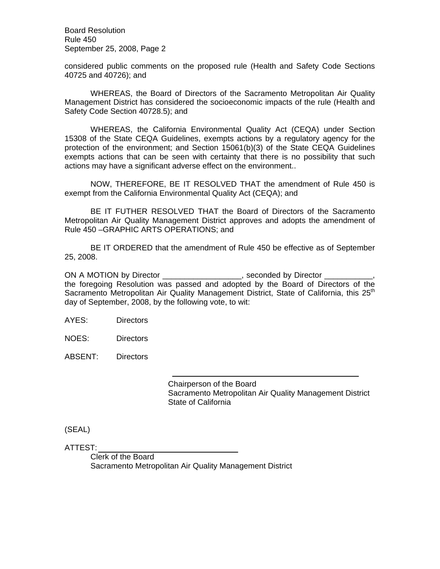Board Resolution Rule 450 September 25, 2008, Page 2

considered public comments on the proposed rule (Health and Safety Code Sections 40725 and 40726); and

 WHEREAS, the Board of Directors of the Sacramento Metropolitan Air Quality Management District has considered the socioeconomic impacts of the rule (Health and Safety Code Section 40728.5); and

WHEREAS, the California Environmental Quality Act (CEQA) under Section 15308 of the State CEQA Guidelines, exempts actions by a regulatory agency for the protection of the environment; and Section 15061(b)(3) of the State CEQA Guidelines exempts actions that can be seen with certainty that there is no possibility that such actions may have a significant adverse effect on the environment..

NOW, THEREFORE, BE IT RESOLVED THAT the amendment of Rule 450 is exempt from the California Environmental Quality Act (CEQA); and

BE IT FUTHER RESOLVED THAT the Board of Directors of the Sacramento Metropolitan Air Quality Management District approves and adopts the amendment of Rule 450 –GRAPHIC ARTS OPERATIONS; and

BE IT ORDERED that the amendment of Rule 450 be effective as of September 25, 2008.

ON A MOTION by Director \_\_\_\_\_\_\_\_\_\_\_\_\_\_\_\_\_\_\_, seconded by Director \_ the foregoing Resolution was passed and adopted by the Board of Directors of the Sacramento Metropolitan Air Quality Management District, State of California, this 25<sup>th</sup> day of September, 2008, by the following vote, to wit:

AYES: Directors

NOES: Directors

ABSENT: Directors

 Chairperson of the Board Sacramento Metropolitan Air Quality Management District State of California

(SEAL)

ATTEST: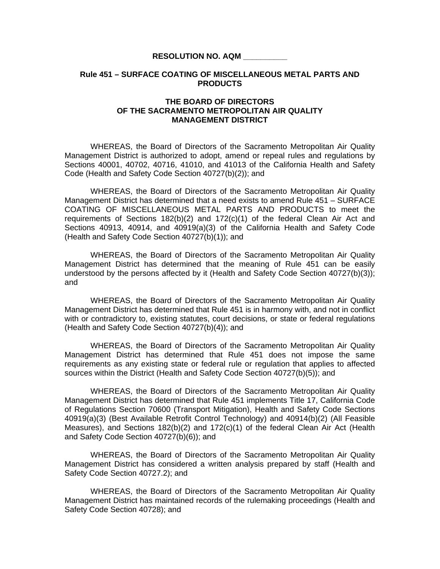### **Rule 451 – SURFACE COATING OF MISCELLANEOUS METAL PARTS AND PRODUCTS**

### **THE BOARD OF DIRECTORS OF THE SACRAMENTO METROPOLITAN AIR QUALITY MANAGEMENT DISTRICT**

 WHEREAS, the Board of Directors of the Sacramento Metropolitan Air Quality Management District is authorized to adopt, amend or repeal rules and regulations by Sections 40001, 40702, 40716, 41010, and 41013 of the California Health and Safety Code (Health and Safety Code Section 40727(b)(2)); and

WHEREAS, the Board of Directors of the Sacramento Metropolitan Air Quality Management District has determined that a need exists to amend Rule 451 – SURFACE COATING OF MISCELLANEOUS METAL PARTS AND PRODUCTS to meet the requirements of Sections  $182(b)(2)$  and  $172(c)(1)$  of the federal Clean Air Act and Sections 40913, 40914, and 40919(a)(3) of the California Health and Safety Code (Health and Safety Code Section 40727(b)(1)); and

 WHEREAS, the Board of Directors of the Sacramento Metropolitan Air Quality Management District has determined that the meaning of Rule 451 can be easily understood by the persons affected by it (Health and Safety Code Section 40727(b)(3)); and

 WHEREAS, the Board of Directors of the Sacramento Metropolitan Air Quality Management District has determined that Rule 451 is in harmony with, and not in conflict with or contradictory to, existing statutes, court decisions, or state or federal regulations (Health and Safety Code Section 40727(b)(4)); and

 WHEREAS, the Board of Directors of the Sacramento Metropolitan Air Quality Management District has determined that Rule 451 does not impose the same requirements as any existing state or federal rule or regulation that applies to affected sources within the District (Health and Safety Code Section 40727(b)(5)); and

 WHEREAS, the Board of Directors of the Sacramento Metropolitan Air Quality Management District has determined that Rule 451 implements Title 17, California Code of Regulations Section 70600 (Transport Mitigation), Health and Safety Code Sections 40919(a)(3) (Best Available Retrofit Control Technology) and 40914(b)(2) (All Feasible Measures), and Sections 182(b)(2) and 172(c)(1) of the federal Clean Air Act (Health and Safety Code Section 40727(b)(6)); and

WHEREAS, the Board of Directors of the Sacramento Metropolitan Air Quality Management District has considered a written analysis prepared by staff (Health and Safety Code Section 40727.2); and

WHEREAS, the Board of Directors of the Sacramento Metropolitan Air Quality Management District has maintained records of the rulemaking proceedings (Health and Safety Code Section 40728); and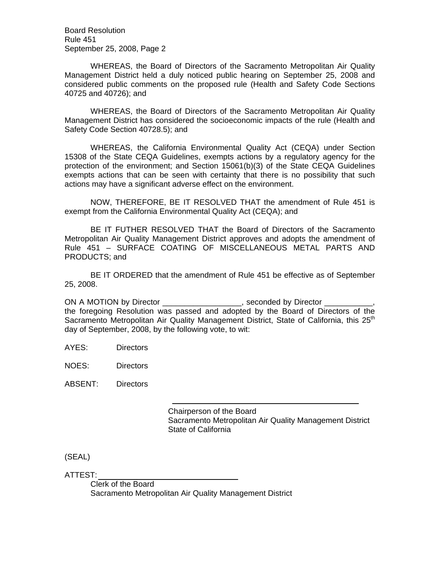Board Resolution Rule 451 September 25, 2008, Page 2

 WHEREAS, the Board of Directors of the Sacramento Metropolitan Air Quality Management District held a duly noticed public hearing on September 25, 2008 and considered public comments on the proposed rule (Health and Safety Code Sections 40725 and 40726); and

 WHEREAS, the Board of Directors of the Sacramento Metropolitan Air Quality Management District has considered the socioeconomic impacts of the rule (Health and Safety Code Section 40728.5); and

WHEREAS, the California Environmental Quality Act (CEQA) under Section 15308 of the State CEQA Guidelines, exempts actions by a regulatory agency for the protection of the environment; and Section 15061(b)(3) of the State CEQA Guidelines exempts actions that can be seen with certainty that there is no possibility that such actions may have a significant adverse effect on the environment.

NOW, THEREFORE, BE IT RESOLVED THAT the amendment of Rule 451 is exempt from the California Environmental Quality Act (CEQA); and

BE IT FUTHER RESOLVED THAT the Board of Directors of the Sacramento Metropolitan Air Quality Management District approves and adopts the amendment of Rule 451 – SURFACE COATING OF MISCELLANEOUS METAL PARTS AND PRODUCTS; and

BE IT ORDERED that the amendment of Rule 451 be effective as of September 25, 2008.

ON A MOTION by Director example and the seconded by Director  $\blacksquare$ the foregoing Resolution was passed and adopted by the Board of Directors of the Sacramento Metropolitan Air Quality Management District, State of California, this 25<sup>th</sup> day of September, 2008, by the following vote, to wit:

AYES: Directors

NOES: Directors

ABSENT: Directors

 Chairperson of the Board Sacramento Metropolitan Air Quality Management District State of California

(SEAL)

ATTEST: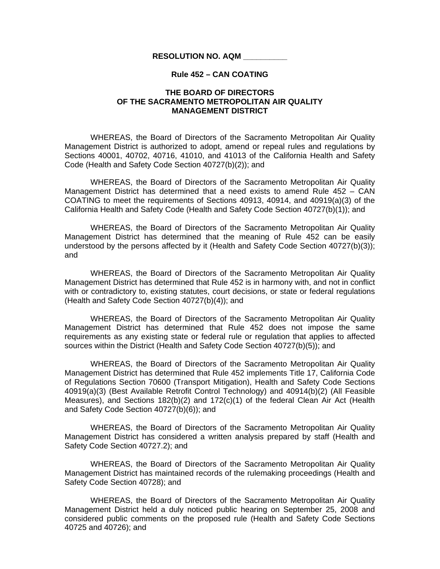### **Rule 452 – CAN COATING**

# **THE BOARD OF DIRECTORS OF THE SACRAMENTO METROPOLITAN AIR QUALITY MANAGEMENT DISTRICT**

 WHEREAS, the Board of Directors of the Sacramento Metropolitan Air Quality Management District is authorized to adopt, amend or repeal rules and regulations by Sections 40001, 40702, 40716, 41010, and 41013 of the California Health and Safety Code (Health and Safety Code Section 40727(b)(2)); and

WHEREAS, the Board of Directors of the Sacramento Metropolitan Air Quality Management District has determined that a need exists to amend Rule 452 – CAN COATING to meet the requirements of Sections 40913, 40914, and 40919(a)(3) of the California Health and Safety Code (Health and Safety Code Section 40727(b)(1)); and

 WHEREAS, the Board of Directors of the Sacramento Metropolitan Air Quality Management District has determined that the meaning of Rule 452 can be easily understood by the persons affected by it (Health and Safety Code Section 40727(b)(3)); and

 WHEREAS, the Board of Directors of the Sacramento Metropolitan Air Quality Management District has determined that Rule 452 is in harmony with, and not in conflict with or contradictory to, existing statutes, court decisions, or state or federal regulations (Health and Safety Code Section 40727(b)(4)); and

 WHEREAS, the Board of Directors of the Sacramento Metropolitan Air Quality Management District has determined that Rule 452 does not impose the same requirements as any existing state or federal rule or regulation that applies to affected sources within the District (Health and Safety Code Section 40727(b)(5)); and

 WHEREAS, the Board of Directors of the Sacramento Metropolitan Air Quality Management District has determined that Rule 452 implements Title 17, California Code of Regulations Section 70600 (Transport Mitigation), Health and Safety Code Sections 40919(a)(3) (Best Available Retrofit Control Technology) and 40914(b)(2) (All Feasible Measures), and Sections 182(b)(2) and 172(c)(1) of the federal Clean Air Act (Health and Safety Code Section 40727(b)(6)); and

WHEREAS, the Board of Directors of the Sacramento Metropolitan Air Quality Management District has considered a written analysis prepared by staff (Health and Safety Code Section 40727.2); and

WHEREAS, the Board of Directors of the Sacramento Metropolitan Air Quality Management District has maintained records of the rulemaking proceedings (Health and Safety Code Section 40728); and

 WHEREAS, the Board of Directors of the Sacramento Metropolitan Air Quality Management District held a duly noticed public hearing on September 25, 2008 and considered public comments on the proposed rule (Health and Safety Code Sections 40725 and 40726); and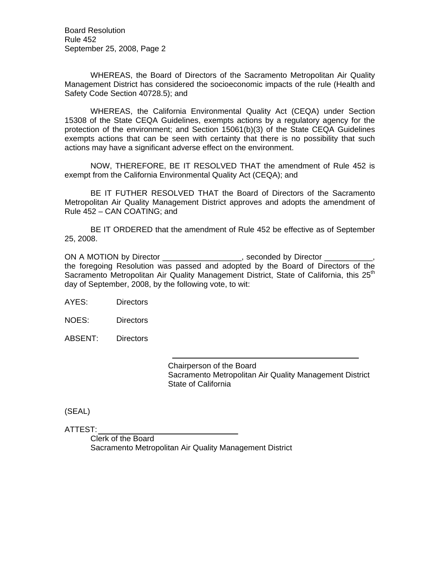Board Resolution Rule 452 September 25, 2008, Page 2

 WHEREAS, the Board of Directors of the Sacramento Metropolitan Air Quality Management District has considered the socioeconomic impacts of the rule (Health and Safety Code Section 40728.5); and

WHEREAS, the California Environmental Quality Act (CEQA) under Section 15308 of the State CEQA Guidelines, exempts actions by a regulatory agency for the protection of the environment; and Section 15061(b)(3) of the State CEQA Guidelines exempts actions that can be seen with certainty that there is no possibility that such actions may have a significant adverse effect on the environment.

NOW, THEREFORE, BE IT RESOLVED THAT the amendment of Rule 452 is exempt from the California Environmental Quality Act (CEQA); and

BE IT FUTHER RESOLVED THAT the Board of Directors of the Sacramento Metropolitan Air Quality Management District approves and adopts the amendment of Rule 452 – CAN COATING; and

BE IT ORDERED that the amendment of Rule 452 be effective as of September 25, 2008.

ON A MOTION by Director \_\_\_\_\_\_\_\_\_\_\_\_\_\_\_\_\_, seconded by Director the foregoing Resolution was passed and adopted by the Board of Directors of the Sacramento Metropolitan Air Quality Management District, State of California, this  $25<sup>th</sup>$ day of September, 2008, by the following vote, to wit:

AYES: Directors

NOES: Directors

ABSENT: Directors

 Chairperson of the Board Sacramento Metropolitan Air Quality Management District State of California

(SEAL)

ATTEST: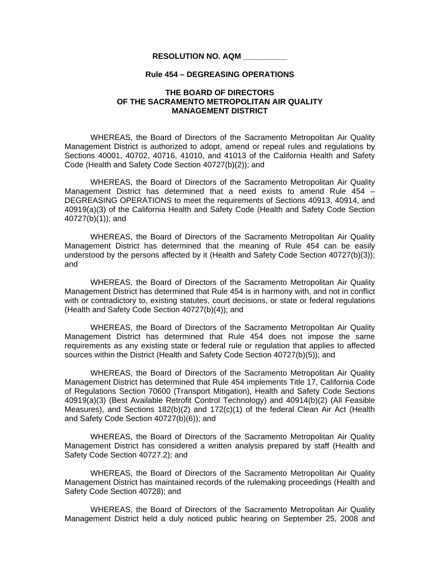### **Rule 454 – DEGREASING OPERATIONS**

# **THE BOARD OF DIRECTORS OF THE SACRAMENTO METROPOLITAN AIR QUALITY MANAGEMENT DISTRICT**

 WHEREAS, the Board of Directors of the Sacramento Metropolitan Air Quality Management District is authorized to adopt, amend or repeal rules and regulations by Sections 40001, 40702, 40716, 41010, and 41013 of the California Health and Safety Code (Health and Safety Code Section 40727(b)(2)); and

WHEREAS, the Board of Directors of the Sacramento Metropolitan Air Quality Management District has determined that a need exists to amend Rule 454 – DEGREASING OPERATIONS to meet the requirements of Sections 40913, 40914, and 40919(a)(3) of the California Health and Safety Code (Health and Safety Code Section 40727(b)(1)); and

 WHEREAS, the Board of Directors of the Sacramento Metropolitan Air Quality Management District has determined that the meaning of Rule 454 can be easily understood by the persons affected by it (Health and Safety Code Section 40727(b)(3)); and

 WHEREAS, the Board of Directors of the Sacramento Metropolitan Air Quality Management District has determined that Rule 454 is in harmony with, and not in conflict with or contradictory to, existing statutes, court decisions, or state or federal regulations (Health and Safety Code Section 40727(b)(4)); and

 WHEREAS, the Board of Directors of the Sacramento Metropolitan Air Quality Management District has determined that Rule 454 does not impose the same requirements as any existing state or federal rule or regulation that applies to affected sources within the District (Health and Safety Code Section 40727(b)(5)); and

 WHEREAS, the Board of Directors of the Sacramento Metropolitan Air Quality Management District has determined that Rule 454 implements Title 17, California Code of Regulations Section 70600 (Transport Mitigation), Health and Safety Code Sections 40919(a)(3) (Best Available Retrofit Control Technology) and 40914(b)(2) (All Feasible Measures), and Sections 182(b)(2) and 172(c)(1) of the federal Clean Air Act (Health and Safety Code Section 40727(b)(6)); and

WHEREAS, the Board of Directors of the Sacramento Metropolitan Air Quality Management District has considered a written analysis prepared by staff (Health and Safety Code Section 40727.2); and

WHEREAS, the Board of Directors of the Sacramento Metropolitan Air Quality Management District has maintained records of the rulemaking proceedings (Health and Safety Code Section 40728); and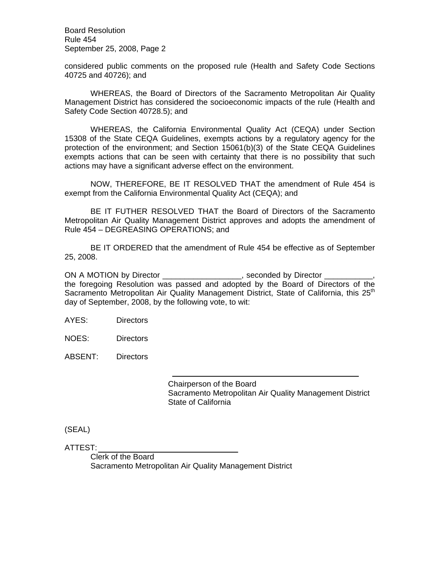Board Resolution Rule 454 September 25, 2008, Page 2

considered public comments on the proposed rule (Health and Safety Code Sections 40725 and 40726); and

 WHEREAS, the Board of Directors of the Sacramento Metropolitan Air Quality Management District has considered the socioeconomic impacts of the rule (Health and Safety Code Section 40728.5); and

WHEREAS, the California Environmental Quality Act (CEQA) under Section 15308 of the State CEQA Guidelines, exempts actions by a regulatory agency for the protection of the environment; and Section 15061(b)(3) of the State CEQA Guidelines exempts actions that can be seen with certainty that there is no possibility that such actions may have a significant adverse effect on the environment.

NOW, THEREFORE, BE IT RESOLVED THAT the amendment of Rule 454 is exempt from the California Environmental Quality Act (CEQA); and

BE IT FUTHER RESOLVED THAT the Board of Directors of the Sacramento Metropolitan Air Quality Management District approves and adopts the amendment of Rule 454 – DEGREASING OPERATIONS; and

BE IT ORDERED that the amendment of Rule 454 be effective as of September 25, 2008.

ON A MOTION by Director \_\_\_\_\_\_\_\_\_\_\_\_\_\_\_\_\_\_\_, seconded by Director \_ the foregoing Resolution was passed and adopted by the Board of Directors of the Sacramento Metropolitan Air Quality Management District, State of California, this 25<sup>th</sup> day of September, 2008, by the following vote, to wit:

AYES: Directors

NOES: Directors

ABSENT: Directors

 Chairperson of the Board Sacramento Metropolitan Air Quality Management District State of California

(SEAL)

ATTEST: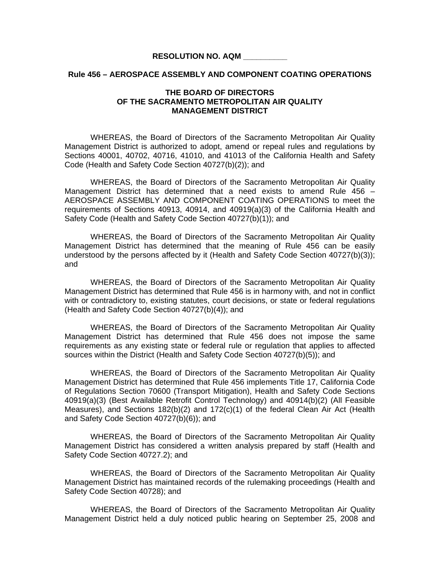### **Rule 456 – AEROSPACE ASSEMBLY AND COMPONENT COATING OPERATIONS**

# **THE BOARD OF DIRECTORS OF THE SACRAMENTO METROPOLITAN AIR QUALITY MANAGEMENT DISTRICT**

 WHEREAS, the Board of Directors of the Sacramento Metropolitan Air Quality Management District is authorized to adopt, amend or repeal rules and regulations by Sections 40001, 40702, 40716, 41010, and 41013 of the California Health and Safety Code (Health and Safety Code Section 40727(b)(2)); and

WHEREAS, the Board of Directors of the Sacramento Metropolitan Air Quality Management District has determined that a need exists to amend Rule 456 – AEROSPACE ASSEMBLY AND COMPONENT COATING OPERATIONS to meet the requirements of Sections 40913, 40914, and 40919(a)(3) of the California Health and Safety Code (Health and Safety Code Section 40727(b)(1)); and

 WHEREAS, the Board of Directors of the Sacramento Metropolitan Air Quality Management District has determined that the meaning of Rule 456 can be easily understood by the persons affected by it (Health and Safety Code Section 40727(b)(3)); and

 WHEREAS, the Board of Directors of the Sacramento Metropolitan Air Quality Management District has determined that Rule 456 is in harmony with, and not in conflict with or contradictory to, existing statutes, court decisions, or state or federal regulations (Health and Safety Code Section 40727(b)(4)); and

 WHEREAS, the Board of Directors of the Sacramento Metropolitan Air Quality Management District has determined that Rule 456 does not impose the same requirements as any existing state or federal rule or regulation that applies to affected sources within the District (Health and Safety Code Section 40727(b)(5)); and

 WHEREAS, the Board of Directors of the Sacramento Metropolitan Air Quality Management District has determined that Rule 456 implements Title 17, California Code of Regulations Section 70600 (Transport Mitigation), Health and Safety Code Sections 40919(a)(3) (Best Available Retrofit Control Technology) and 40914(b)(2) (All Feasible Measures), and Sections 182(b)(2) and 172(c)(1) of the federal Clean Air Act (Health and Safety Code Section 40727(b)(6)); and

WHEREAS, the Board of Directors of the Sacramento Metropolitan Air Quality Management District has considered a written analysis prepared by staff (Health and Safety Code Section 40727.2); and

WHEREAS, the Board of Directors of the Sacramento Metropolitan Air Quality Management District has maintained records of the rulemaking proceedings (Health and Safety Code Section 40728); and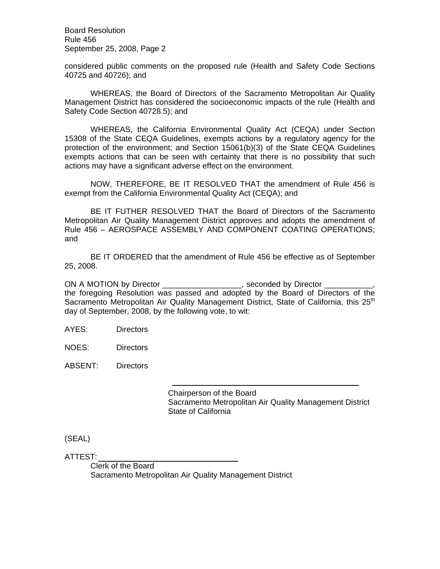Board Resolution Rule 456 September 25, 2008, Page 2

considered public comments on the proposed rule (Health and Safety Code Sections 40725 and 40726); and

 WHEREAS, the Board of Directors of the Sacramento Metropolitan Air Quality Management District has considered the socioeconomic impacts of the rule (Health and Safety Code Section 40728.5); and

WHEREAS, the California Environmental Quality Act (CEQA) under Section 15308 of the State CEQA Guidelines, exempts actions by a regulatory agency for the protection of the environment; and Section 15061(b)(3) of the State CEQA Guidelines exempts actions that can be seen with certainty that there is no possibility that such actions may have a significant adverse effect on the environment.

NOW, THEREFORE, BE IT RESOLVED THAT the amendment of Rule 456 is exempt from the California Environmental Quality Act (CEQA); and

BE IT FUTHER RESOLVED THAT the Board of Directors of the Sacramento Metropolitan Air Quality Management District approves and adopts the amendment of Rule 456 – AEROSPACE ASSEMBLY AND COMPONENT COATING OPERATIONS; and

BE IT ORDERED that the amendment of Rule 456 be effective as of September 25, 2008.

ON A MOTION by Director \_\_\_\_\_\_\_\_\_\_\_\_\_\_\_\_\_, seconded by Director \_ the foregoing Resolution was passed and adopted by the Board of Directors of the Sacramento Metropolitan Air Quality Management District, State of California, this 25<sup>th</sup> day of September, 2008, by the following vote, to wit:

AYES: Directors

NOES: Directors

ABSENT: Directors

 Chairperson of the Board Sacramento Metropolitan Air Quality Management District State of California

(SEAL)

ATTEST: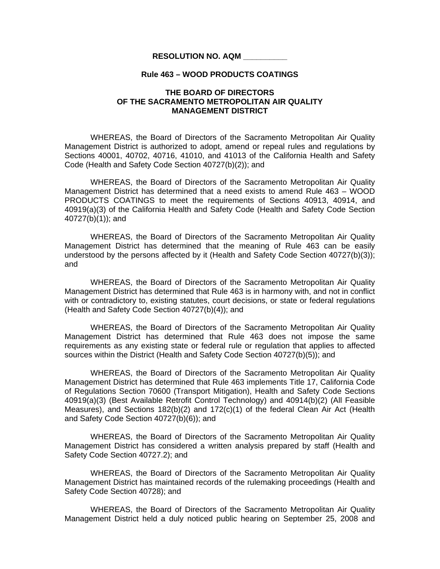#### **Rule 463 – WOOD PRODUCTS COATINGS**

# **THE BOARD OF DIRECTORS OF THE SACRAMENTO METROPOLITAN AIR QUALITY MANAGEMENT DISTRICT**

 WHEREAS, the Board of Directors of the Sacramento Metropolitan Air Quality Management District is authorized to adopt, amend or repeal rules and regulations by Sections 40001, 40702, 40716, 41010, and 41013 of the California Health and Safety Code (Health and Safety Code Section 40727(b)(2)); and

WHEREAS, the Board of Directors of the Sacramento Metropolitan Air Quality Management District has determined that a need exists to amend Rule 463 – WOOD PRODUCTS COATINGS to meet the requirements of Sections 40913, 40914, and 40919(a)(3) of the California Health and Safety Code (Health and Safety Code Section 40727(b)(1)); and

 WHEREAS, the Board of Directors of the Sacramento Metropolitan Air Quality Management District has determined that the meaning of Rule 463 can be easily understood by the persons affected by it (Health and Safety Code Section 40727(b)(3)); and

 WHEREAS, the Board of Directors of the Sacramento Metropolitan Air Quality Management District has determined that Rule 463 is in harmony with, and not in conflict with or contradictory to, existing statutes, court decisions, or state or federal regulations (Health and Safety Code Section 40727(b)(4)); and

 WHEREAS, the Board of Directors of the Sacramento Metropolitan Air Quality Management District has determined that Rule 463 does not impose the same requirements as any existing state or federal rule or regulation that applies to affected sources within the District (Health and Safety Code Section 40727(b)(5)); and

 WHEREAS, the Board of Directors of the Sacramento Metropolitan Air Quality Management District has determined that Rule 463 implements Title 17, California Code of Regulations Section 70600 (Transport Mitigation), Health and Safety Code Sections 40919(a)(3) (Best Available Retrofit Control Technology) and 40914(b)(2) (All Feasible Measures), and Sections 182(b)(2) and 172(c)(1) of the federal Clean Air Act (Health and Safety Code Section 40727(b)(6)); and

WHEREAS, the Board of Directors of the Sacramento Metropolitan Air Quality Management District has considered a written analysis prepared by staff (Health and Safety Code Section 40727.2); and

WHEREAS, the Board of Directors of the Sacramento Metropolitan Air Quality Management District has maintained records of the rulemaking proceedings (Health and Safety Code Section 40728); and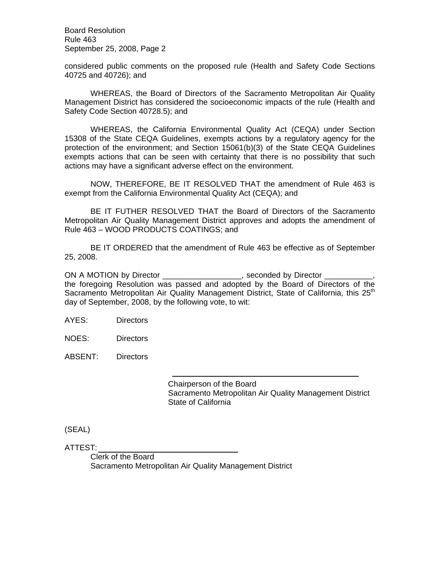Board Resolution Rule 463 September 25, 2008, Page 2

considered public comments on the proposed rule (Health and Safety Code Sections 40725 and 40726); and

 WHEREAS, the Board of Directors of the Sacramento Metropolitan Air Quality Management District has considered the socioeconomic impacts of the rule (Health and Safety Code Section 40728.5); and

WHEREAS, the California Environmental Quality Act (CEQA) under Section 15308 of the State CEQA Guidelines, exempts actions by a regulatory agency for the protection of the environment; and Section 15061(b)(3) of the State CEQA Guidelines exempts actions that can be seen with certainty that there is no possibility that such actions may have a significant adverse effect on the environment.

NOW, THEREFORE, BE IT RESOLVED THAT the amendment of Rule 463 is exempt from the California Environmental Quality Act (CEQA); and

BE IT FUTHER RESOLVED THAT the Board of Directors of the Sacramento Metropolitan Air Quality Management District approves and adopts the amendment of Rule 463 – WOOD PRODUCTS COATINGS; and

BE IT ORDERED that the amendment of Rule 463 be effective as of September 25, 2008.

ON A MOTION by Director \_\_\_\_\_\_\_\_\_\_\_\_\_\_\_\_\_\_\_, seconded by Director \_ the foregoing Resolution was passed and adopted by the Board of Directors of the Sacramento Metropolitan Air Quality Management District, State of California, this 25<sup>th</sup> day of September, 2008, by the following vote, to wit:

AYES: Directors

NOES: Directors

ABSENT: Directors

 Chairperson of the Board Sacramento Metropolitan Air Quality Management District State of California

(SEAL)

ATTEST: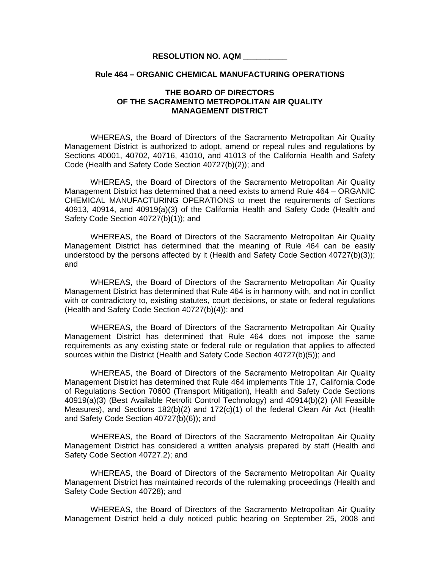#### **Rule 464 – ORGANIC CHEMICAL MANUFACTURING OPERATIONS**

# **THE BOARD OF DIRECTORS OF THE SACRAMENTO METROPOLITAN AIR QUALITY MANAGEMENT DISTRICT**

 WHEREAS, the Board of Directors of the Sacramento Metropolitan Air Quality Management District is authorized to adopt, amend or repeal rules and regulations by Sections 40001, 40702, 40716, 41010, and 41013 of the California Health and Safety Code (Health and Safety Code Section 40727(b)(2)); and

WHEREAS, the Board of Directors of the Sacramento Metropolitan Air Quality Management District has determined that a need exists to amend Rule 464 – ORGANIC CHEMICAL MANUFACTURING OPERATIONS to meet the requirements of Sections 40913, 40914, and 40919(a)(3) of the California Health and Safety Code (Health and Safety Code Section 40727(b)(1)); and

 WHEREAS, the Board of Directors of the Sacramento Metropolitan Air Quality Management District has determined that the meaning of Rule 464 can be easily understood by the persons affected by it (Health and Safety Code Section 40727(b)(3)); and

 WHEREAS, the Board of Directors of the Sacramento Metropolitan Air Quality Management District has determined that Rule 464 is in harmony with, and not in conflict with or contradictory to, existing statutes, court decisions, or state or federal regulations (Health and Safety Code Section 40727(b)(4)); and

 WHEREAS, the Board of Directors of the Sacramento Metropolitan Air Quality Management District has determined that Rule 464 does not impose the same requirements as any existing state or federal rule or regulation that applies to affected sources within the District (Health and Safety Code Section 40727(b)(5)); and

 WHEREAS, the Board of Directors of the Sacramento Metropolitan Air Quality Management District has determined that Rule 464 implements Title 17, California Code of Regulations Section 70600 (Transport Mitigation), Health and Safety Code Sections 40919(a)(3) (Best Available Retrofit Control Technology) and 40914(b)(2) (All Feasible Measures), and Sections 182(b)(2) and 172(c)(1) of the federal Clean Air Act (Health and Safety Code Section 40727(b)(6)); and

WHEREAS, the Board of Directors of the Sacramento Metropolitan Air Quality Management District has considered a written analysis prepared by staff (Health and Safety Code Section 40727.2); and

WHEREAS, the Board of Directors of the Sacramento Metropolitan Air Quality Management District has maintained records of the rulemaking proceedings (Health and Safety Code Section 40728); and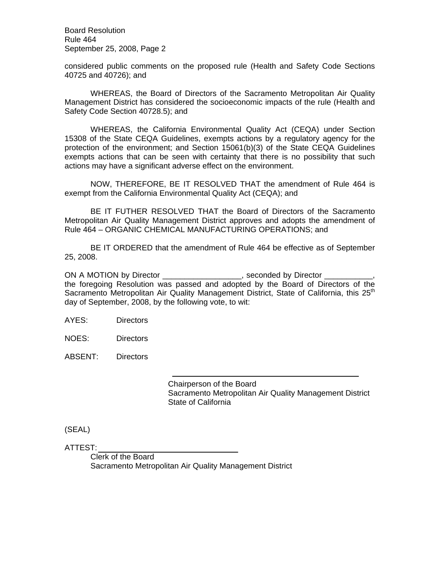Board Resolution Rule 464 September 25, 2008, Page 2

considered public comments on the proposed rule (Health and Safety Code Sections 40725 and 40726); and

 WHEREAS, the Board of Directors of the Sacramento Metropolitan Air Quality Management District has considered the socioeconomic impacts of the rule (Health and Safety Code Section 40728.5); and

WHEREAS, the California Environmental Quality Act (CEQA) under Section 15308 of the State CEQA Guidelines, exempts actions by a regulatory agency for the protection of the environment; and Section 15061(b)(3) of the State CEQA Guidelines exempts actions that can be seen with certainty that there is no possibility that such actions may have a significant adverse effect on the environment.

NOW, THEREFORE, BE IT RESOLVED THAT the amendment of Rule 464 is exempt from the California Environmental Quality Act (CEQA); and

BE IT FUTHER RESOLVED THAT the Board of Directors of the Sacramento Metropolitan Air Quality Management District approves and adopts the amendment of Rule 464 – ORGANIC CHEMICAL MANUFACTURING OPERATIONS; and

BE IT ORDERED that the amendment of Rule 464 be effective as of September 25, 2008.

ON A MOTION by Director \_\_\_\_\_\_\_\_\_\_\_\_\_\_\_\_\_\_\_, seconded by Director \_ the foregoing Resolution was passed and adopted by the Board of Directors of the Sacramento Metropolitan Air Quality Management District, State of California, this 25<sup>th</sup> day of September, 2008, by the following vote, to wit:

AYES: Directors

NOES: Directors

ABSENT: Directors

 Chairperson of the Board Sacramento Metropolitan Air Quality Management District State of California

(SEAL)

ATTEST: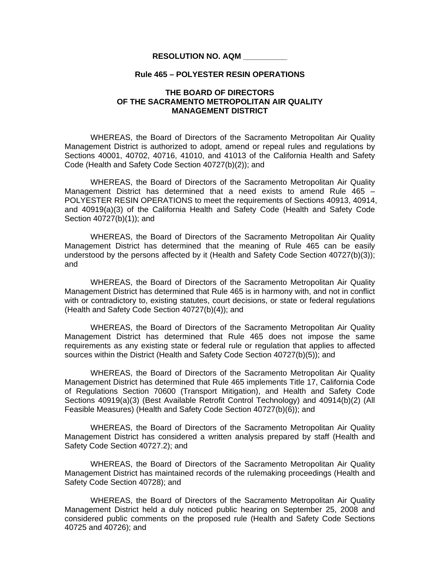#### **Rule 465 – POLYESTER RESIN OPERATIONS**

# **THE BOARD OF DIRECTORS OF THE SACRAMENTO METROPOLITAN AIR QUALITY MANAGEMENT DISTRICT**

 WHEREAS, the Board of Directors of the Sacramento Metropolitan Air Quality Management District is authorized to adopt, amend or repeal rules and regulations by Sections 40001, 40702, 40716, 41010, and 41013 of the California Health and Safety Code (Health and Safety Code Section 40727(b)(2)); and

WHEREAS, the Board of Directors of the Sacramento Metropolitan Air Quality Management District has determined that a need exists to amend Rule 465 – POLYESTER RESIN OPERATIONS to meet the requirements of Sections 40913, 40914, and 40919(a)(3) of the California Health and Safety Code (Health and Safety Code Section 40727(b)(1)); and

 WHEREAS, the Board of Directors of the Sacramento Metropolitan Air Quality Management District has determined that the meaning of Rule 465 can be easily understood by the persons affected by it (Health and Safety Code Section 40727(b)(3)); and

 WHEREAS, the Board of Directors of the Sacramento Metropolitan Air Quality Management District has determined that Rule 465 is in harmony with, and not in conflict with or contradictory to, existing statutes, court decisions, or state or federal regulations (Health and Safety Code Section 40727(b)(4)); and

 WHEREAS, the Board of Directors of the Sacramento Metropolitan Air Quality Management District has determined that Rule 465 does not impose the same requirements as any existing state or federal rule or regulation that applies to affected sources within the District (Health and Safety Code Section 40727(b)(5)); and

 WHEREAS, the Board of Directors of the Sacramento Metropolitan Air Quality Management District has determined that Rule 465 implements Title 17, California Code of Regulations Section 70600 (Transport Mitigation), and Health and Safety Code Sections 40919(a)(3) (Best Available Retrofit Control Technology) and 40914(b)(2) (All Feasible Measures) (Health and Safety Code Section 40727(b)(6)); and

WHEREAS, the Board of Directors of the Sacramento Metropolitan Air Quality Management District has considered a written analysis prepared by staff (Health and Safety Code Section 40727.2); and

WHEREAS, the Board of Directors of the Sacramento Metropolitan Air Quality Management District has maintained records of the rulemaking proceedings (Health and Safety Code Section 40728); and

 WHEREAS, the Board of Directors of the Sacramento Metropolitan Air Quality Management District held a duly noticed public hearing on September 25, 2008 and considered public comments on the proposed rule (Health and Safety Code Sections 40725 and 40726); and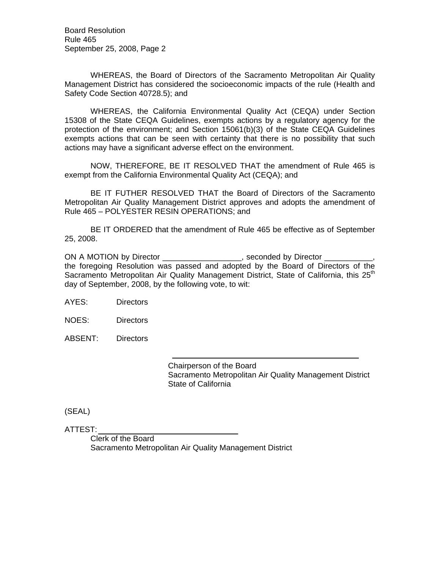Board Resolution Rule 465 September 25, 2008, Page 2

 WHEREAS, the Board of Directors of the Sacramento Metropolitan Air Quality Management District has considered the socioeconomic impacts of the rule (Health and Safety Code Section 40728.5); and

WHEREAS, the California Environmental Quality Act (CEQA) under Section 15308 of the State CEQA Guidelines, exempts actions by a regulatory agency for the protection of the environment; and Section 15061(b)(3) of the State CEQA Guidelines exempts actions that can be seen with certainty that there is no possibility that such actions may have a significant adverse effect on the environment.

NOW, THEREFORE, BE IT RESOLVED THAT the amendment of Rule 465 is exempt from the California Environmental Quality Act (CEQA); and

BE IT FUTHER RESOLVED THAT the Board of Directors of the Sacramento Metropolitan Air Quality Management District approves and adopts the amendment of Rule 465 – POLYESTER RESIN OPERATIONS; and

BE IT ORDERED that the amendment of Rule 465 be effective as of September 25, 2008.

ON A MOTION by Director \_\_\_\_\_\_\_\_\_\_\_\_\_\_\_\_\_, seconded by Director the foregoing Resolution was passed and adopted by the Board of Directors of the Sacramento Metropolitan Air Quality Management District, State of California, this  $25<sup>th</sup>$ day of September, 2008, by the following vote, to wit:

AYES: Directors

NOES: Directors

ABSENT: Directors

 Chairperson of the Board Sacramento Metropolitan Air Quality Management District State of California

(SEAL)

ATTEST: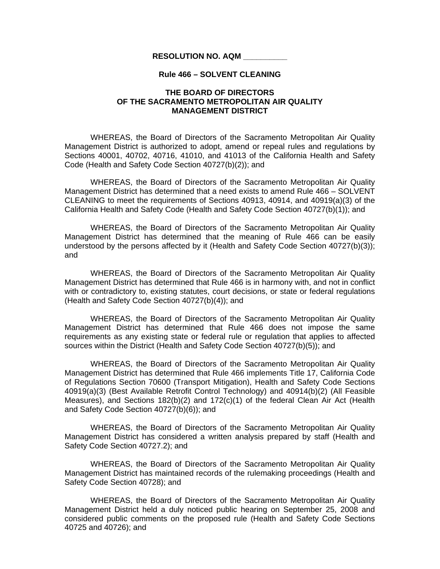### **Rule 466 – SOLVENT CLEANING**

# **THE BOARD OF DIRECTORS OF THE SACRAMENTO METROPOLITAN AIR QUALITY MANAGEMENT DISTRICT**

 WHEREAS, the Board of Directors of the Sacramento Metropolitan Air Quality Management District is authorized to adopt, amend or repeal rules and regulations by Sections 40001, 40702, 40716, 41010, and 41013 of the California Health and Safety Code (Health and Safety Code Section 40727(b)(2)); and

WHEREAS, the Board of Directors of the Sacramento Metropolitan Air Quality Management District has determined that a need exists to amend Rule 466 – SOLVENT CLEANING to meet the requirements of Sections 40913, 40914, and 40919(a)(3) of the California Health and Safety Code (Health and Safety Code Section 40727(b)(1)); and

 WHEREAS, the Board of Directors of the Sacramento Metropolitan Air Quality Management District has determined that the meaning of Rule 466 can be easily understood by the persons affected by it (Health and Safety Code Section 40727(b)(3)); and

 WHEREAS, the Board of Directors of the Sacramento Metropolitan Air Quality Management District has determined that Rule 466 is in harmony with, and not in conflict with or contradictory to, existing statutes, court decisions, or state or federal regulations (Health and Safety Code Section 40727(b)(4)); and

 WHEREAS, the Board of Directors of the Sacramento Metropolitan Air Quality Management District has determined that Rule 466 does not impose the same requirements as any existing state or federal rule or regulation that applies to affected sources within the District (Health and Safety Code Section 40727(b)(5)); and

 WHEREAS, the Board of Directors of the Sacramento Metropolitan Air Quality Management District has determined that Rule 466 implements Title 17, California Code of Regulations Section 70600 (Transport Mitigation), Health and Safety Code Sections 40919(a)(3) (Best Available Retrofit Control Technology) and 40914(b)(2) (All Feasible Measures), and Sections 182(b)(2) and 172(c)(1) of the federal Clean Air Act (Health and Safety Code Section 40727(b)(6)); and

WHEREAS, the Board of Directors of the Sacramento Metropolitan Air Quality Management District has considered a written analysis prepared by staff (Health and Safety Code Section 40727.2); and

WHEREAS, the Board of Directors of the Sacramento Metropolitan Air Quality Management District has maintained records of the rulemaking proceedings (Health and Safety Code Section 40728); and

 WHEREAS, the Board of Directors of the Sacramento Metropolitan Air Quality Management District held a duly noticed public hearing on September 25, 2008 and considered public comments on the proposed rule (Health and Safety Code Sections 40725 and 40726); and